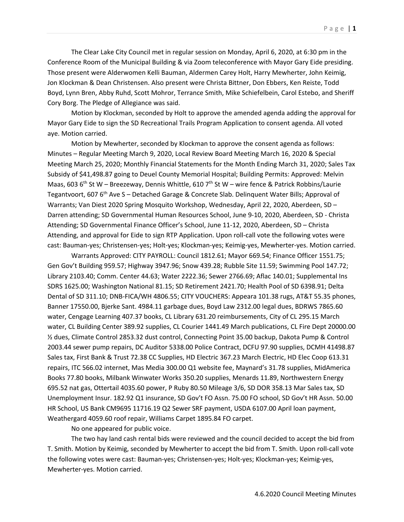The Clear Lake City Council met in regular session on Monday, April 6, 2020, at 6:30 pm in the Conference Room of the Municipal Building & via Zoom teleconference with Mayor Gary Eide presiding. Those present were Alderwomen Kelli Bauman, Aldermen Carey Holt, Harry Mewherter, John Keimig, Jon Klockman & Dean Christensen. Also present were Christa Bittner, Don Ebbers, Ken Reiste, Todd Boyd, Lynn Bren, Abby Ruhd, Scott Mohror, Terrance Smith, Mike Schiefelbein, Carol Estebo, and Sheriff Cory Borg. The Pledge of Allegiance was said.

Motion by Klockman, seconded by Holt to approve the amended agenda adding the approval for Mayor Gary Eide to sign the SD Recreational Trails Program Application to consent agenda. All voted aye. Motion carried.

Motion by Mewherter, seconded by Klockman to approve the consent agenda as follows: Minutes – Regular Meeting March 9, 2020, Local Review Board Meeting March 16, 2020 & Special Meeting March 25, 2020; Monthly Financial Statements for the Month Ending March 31, 2020; Sales Tax Subsidy of \$41,498.87 going to Deuel County Memorial Hospital; Building Permits: Approved: Melvin Maas, 603 6<sup>th</sup> St W – Breezeway, Dennis Whittle, 610 7<sup>th</sup> St W – wire fence & Patrick Robbins/Laurie Tegantvoort, 607 6th Ave S – Detached Garage & Concrete Slab. Delinquent Water Bills; Approval of Warrants; Van Diest 2020 Spring Mosquito Workshop, Wednesday, April 22, 2020, Aberdeen, SD – Darren attending; SD Governmental Human Resources School, June 9-10, 2020, Aberdeen, SD - Christa Attending; SD Governmental Finance Officer's School, June 11-12, 2020, Aberdeen, SD – Christa Attending, and approval for Eide to sign RTP Application. Upon roll-call vote the following votes were cast: Bauman-yes; Christensen-yes; Holt-yes; Klockman-yes; Keimig-yes, Mewherter-yes. Motion carried.

Warrants Approved: CITY PAYROLL: Council 1812.61; Mayor 669.54; Finance Officer 1551.75; Gen Gov't Building 959.57; Highway 3947.96; Snow 439.28; Rubble Site 11.59; Swimming Pool 147.72; Library 2103.40; Comm. Center 44.63; Water 2222.36; Sewer 2766.69; Aflac 140.01; Supplemental Ins SDRS 1625.00; Washington National 81.15; SD Retirement 2421.70; Health Pool of SD 6398.91; Delta Dental of SD 311.10; DNB-FICA/WH 4806.55; CITY VOUCHERS: Appeara 101.38 rugs, AT&T 55.35 phones, Banner 17550.00, Bjerke Sant. 4984.11 garbage dues, Boyd Law 2312.00 legal dues, BDRWS 7865.60 water, Cengage Learning 407.37 books, CL Library 631.20 reimbursements, City of CL 295.15 March water, CL Building Center 389.92 supplies, CL Courier 1441.49 March publications, CL Fire Dept 20000.00 ½ dues, Climate Control 2853.32 dust control, Connecting Point 35.00 backup, Dakota Pump & Control 2003.44 sewer pump repairs, DC Auditor 5338.00 Police Contract, DCFU 97.90 supplies, DCMH 41498.87 Sales tax, First Bank & Trust 72.38 CC Supplies, HD Electric 367.23 March Electric, HD Elec Coop 613.31 repairs, ITC 566.02 internet, Mas Media 300.00 Q1 website fee, Maynard's 31.78 supplies, MidAmerica Books 77.80 books, Milbank Winwater Works 350.20 supplies, Menards 11.89, Northwestern Energy 695.52 nat gas, Ottertail 4035.60 power, P Ruby 80.50 Mileage 3/6, SD DOR 358.13 Mar Sales tax, SD Unemployment Insur. 182.92 Q1 insurance, SD Gov't FO Assn. 75.00 FO school, SD Gov't HR Assn. 50.00 HR School, US Bank CM9695 11716.19 Q2 Sewer SRF payment, USDA 6107.00 April loan payment, Weathergard 4059.60 roof repair, Williams Carpet 1895.84 FO carpet.

No one appeared for public voice.

The two hay land cash rental bids were reviewed and the council decided to accept the bid from T. Smith. Motion by Keimig, seconded by Mewherter to accept the bid from T. Smith. Upon roll-call vote the following votes were cast: Bauman-yes; Christensen-yes; Holt-yes; Klockman-yes; Keimig-yes, Mewherter-yes. Motion carried.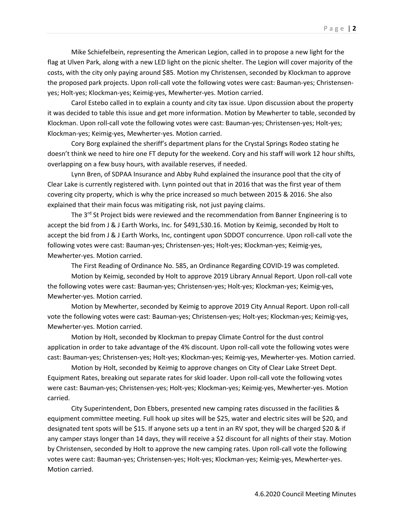Mike Schiefelbein, representing the American Legion, called in to propose a new light for the flag at Ulven Park, along with a new LED light on the picnic shelter. The Legion will cover majority of the costs, with the city only paying around \$85. Motion my Christensen, seconded by Klockman to approve the proposed park projects. Upon roll-call vote the following votes were cast: Bauman-yes; Christensenyes; Holt-yes; Klockman-yes; Keimig-yes, Mewherter-yes. Motion carried.

Carol Estebo called in to explain a county and city tax issue. Upon discussion about the property it was decided to table this issue and get more information. Motion by Mewherter to table, seconded by Klockman. Upon roll-call vote the following votes were cast: Bauman-yes; Christensen-yes; Holt-yes; Klockman-yes; Keimig-yes, Mewherter-yes. Motion carried.

Cory Borg explained the sheriff's department plans for the Crystal Springs Rodeo stating he doesn't think we need to hire one FT deputy for the weekend. Cory and his staff will work 12 hour shifts, overlapping on a few busy hours, with available reserves, if needed.

Lynn Bren, of SDPAA Insurance and Abby Ruhd explained the insurance pool that the city of Clear Lake is currently registered with. Lynn pointed out that in 2016 that was the first year of them covering city property, which is why the price increased so much between 2015 & 2016. She also explained that their main focus was mitigating risk, not just paying claims.

The  $3^{rd}$  St Project bids were reviewed and the recommendation from Banner Engineering is to accept the bid from J & J Earth Works, Inc. for \$491,530.16. Motion by Keimig, seconded by Holt to accept the bid from J & J Earth Works, Inc, contingent upon SDDOT concurrence. Upon roll-call vote the following votes were cast: Bauman-yes; Christensen-yes; Holt-yes; Klockman-yes; Keimig-yes, Mewherter-yes. Motion carried.

The First Reading of Ordinance No. 585, an Ordinance Regarding COVID-19 was completed.

Motion by Keimig, seconded by Holt to approve 2019 Library Annual Report. Upon roll-call vote the following votes were cast: Bauman-yes; Christensen-yes; Holt-yes; Klockman-yes; Keimig-yes, Mewherter-yes. Motion carried.

Motion by Mewherter, seconded by Keimig to approve 2019 City Annual Report. Upon roll-call vote the following votes were cast: Bauman-yes; Christensen-yes; Holt-yes; Klockman-yes; Keimig-yes, Mewherter-yes. Motion carried.

Motion by Holt, seconded by Klockman to prepay Climate Control for the dust control application in order to take advantage of the 4% discount. Upon roll-call vote the following votes were cast: Bauman-yes; Christensen-yes; Holt-yes; Klockman-yes; Keimig-yes, Mewherter-yes. Motion carried.

Motion by Holt, seconded by Keimig to approve changes on City of Clear Lake Street Dept. Equipment Rates, breaking out separate rates for skid loader. Upon roll-call vote the following votes were cast: Bauman-yes; Christensen-yes; Holt-yes; Klockman-yes; Keimig-yes, Mewherter-yes. Motion carried.

City Superintendent, Don Ebbers, presented new camping rates discussed in the facilities & equipment committee meeting. Full hook up sites will be \$25, water and electric sites will be \$20, and designated tent spots will be \$15. If anyone sets up a tent in an RV spot, they will be charged \$20 & if any camper stays longer than 14 days, they will receive a \$2 discount for all nights of their stay. Motion by Christensen, seconded by Holt to approve the new camping rates. Upon roll-call vote the following votes were cast: Bauman-yes; Christensen-yes; Holt-yes; Klockman-yes; Keimig-yes, Mewherter-yes. Motion carried.